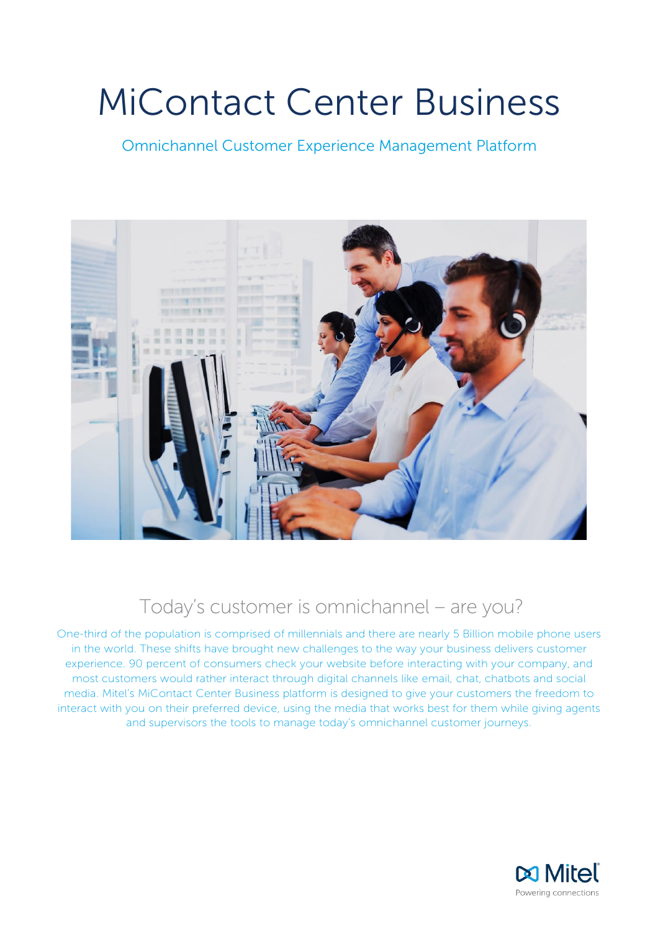# MiContact Center Business

Omnichannel Customer Experience Management Platform



# Today's customer is omnichannel – are you?

One-third of the population is comprised of millennials and there are nearly 5 Billion mobile phone users in the world. These shifts have brought new challenges to the way your business delivers customer experience. 90 percent of consumers check your website before interacting with your company, and most customers would rather interact through digital channels like email, chat, chatbots and social media. Mitel's MiContact Center Business platform is designed to give your customers the freedom to interact with you on their preferred device, using the media that works best for them while giving agents and supervisors the tools to manage today's omnichannel customer journeys.

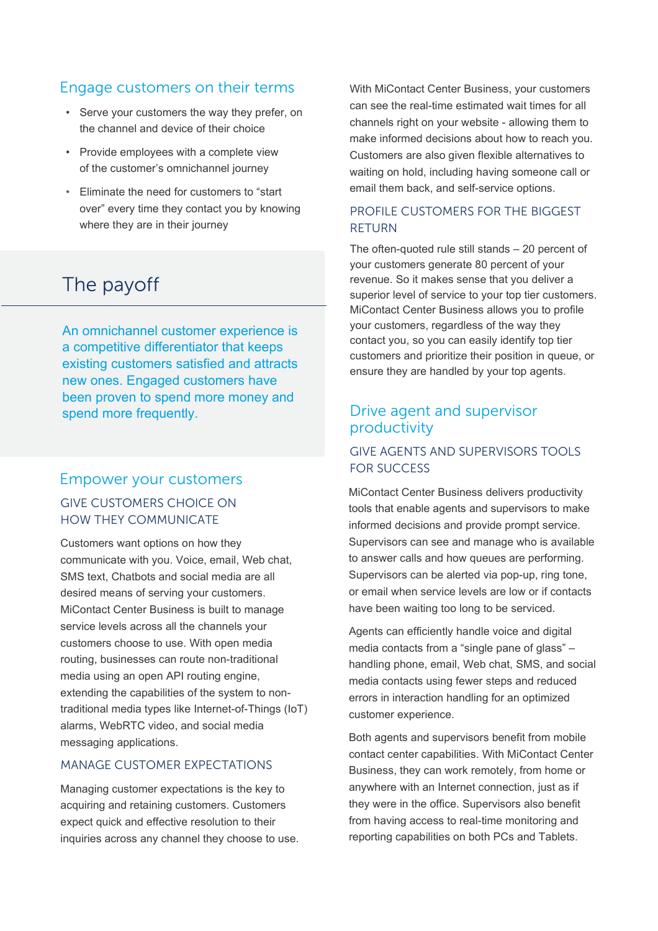# Engage customers on their terms

- Serve your customers the way they prefer, on the channel and device of their choice
- Provide employees with a complete view of the customer's omnichannel journey
- Eliminate the need for customers to "start over" every time they contact you by knowing where they are in their journey

# The payoff

An omnichannel customer experience is a competitive differentiator that keeps existing customers satisfied and attracts new ones. Engaged customers have been proven to spend more money and spend more frequently.

# Empower your customers GIVE CUSTOMERS CHOICE ON HOW THEY COMMUNICATE

Customers want options on how they communicate with you. Voice, email, Web chat, SMS text, Chatbots and social media are all desired means of serving your customers. MiContact Center Business is built to manage service levels across all the channels your customers choose to use. With open media routing, businesses can route non-traditional media using an open API routing engine, extending the capabilities of the system to nontraditional media types like Internet-of-Things (IoT) alarms, WebRTC video, and social media messaging applications.

## MANAGE CUSTOMER EXPECTATIONS

Managing customer expectations is the key to acquiring and retaining customers. Customers expect quick and effective resolution to their inquiries across any channel they choose to use. With MiContact Center Business, your customers can see the real-time estimated wait times for all channels right on your website - allowing them to make informed decisions about how to reach you. Customers are also given flexible alternatives to waiting on hold, including having someone call or email them back, and self-service options.

# PROFILE CUSTOMERS FOR THE BIGGEST RETURN

The often-quoted rule still stands – 20 percent of your customers generate 80 percent of your revenue. So it makes sense that you deliver a superior level of service to your top tier customers. MiContact Center Business allows you to profile your customers, regardless of the way they contact you, so you can easily identify top tier customers and prioritize their position in queue, or ensure they are handled by your top agents.

# Drive agent and supervisor productivity

# GIVE AGENTS AND SUPERVISORS TOOLS FOR SUCCESS

MiContact Center Business delivers productivity tools that enable agents and supervisors to make informed decisions and provide prompt service. Supervisors can see and manage who is available to answer calls and how queues are performing. Supervisors can be alerted via pop-up, ring tone, or email when service levels are low or if contacts have been waiting too long to be serviced.

Agents can efficiently handle voice and digital media contacts from a "single pane of glass" – handling phone, email, Web chat, SMS, and social media contacts using fewer steps and reduced errors in interaction handling for an optimized customer experience.

Both agents and supervisors benefit from mobile contact center capabilities. With MiContact Center Business, they can work remotely, from home or anywhere with an Internet connection, just as if they were in the office. Supervisors also benefit from having access to real-time monitoring and reporting capabilities on both PCs and Tablets.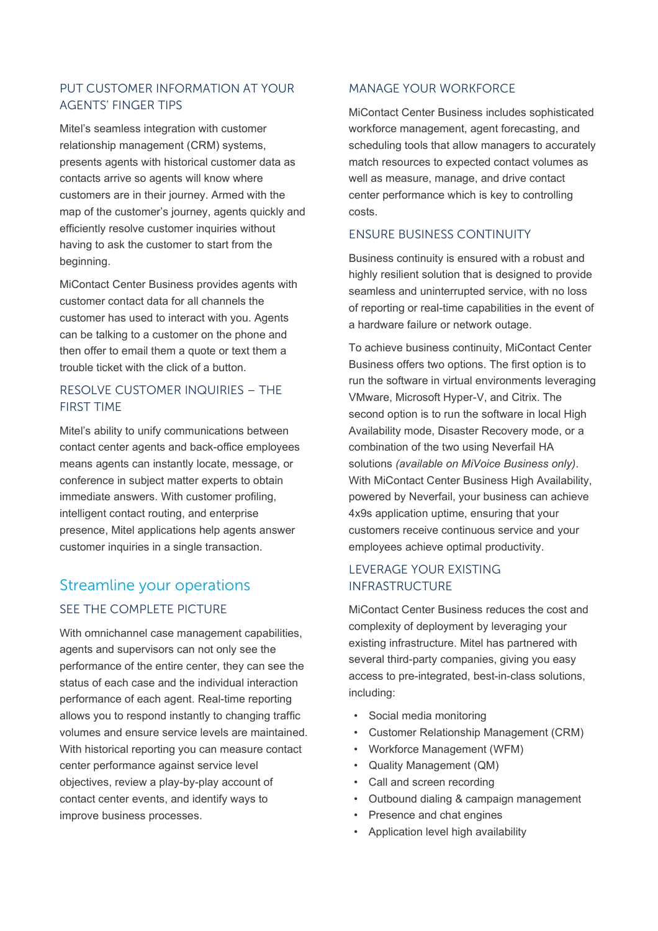# PUT CUSTOMER INFORMATION AT YOUR AGENTS' FINGER TIPS

Mitel's seamless integration with customer relationship management (CRM) systems, presents agents with historical customer data as contacts arrive so agents will know where customers are in their journey. Armed with the map of the customer's journey, agents quickly and efficiently resolve customer inquiries without having to ask the customer to start from the beginning.

MiContact Center Business provides agents with customer contact data for all channels the customer has used to interact with you. Agents can be talking to a customer on the phone and then offer to email them a quote or text them a trouble ticket with the click of a button.

# RESOLVE CUSTOMER INQUIRIES – THE FIRST TIME

Mitel's ability to unify communications between contact center agents and back-office employees means agents can instantly locate, message, or conference in subject matter experts to obtain immediate answers. With customer profiling, intelligent contact routing, and enterprise presence, Mitel applications help agents answer customer inquiries in a single transaction.

# Streamline your operations SEE THE COMPLETE PICTURE

With omnichannel case management capabilities, agents and supervisors can not only see the performance of the entire center, they can see the status of each case and the individual interaction performance of each agent. Real-time reporting allows you to respond instantly to changing traffic volumes and ensure service levels are maintained. With historical reporting you can measure contact center performance against service level objectives, review a play-by-play account of contact center events, and identify ways to improve business processes.

## MANAGE YOUR WORKFORCE

MiContact Center Business includes sophisticated workforce management, agent forecasting, and scheduling tools that allow managers to accurately match resources to expected contact volumes as well as measure, manage, and drive contact center performance which is key to controlling costs.

#### ENSURE BUSINESS CONTINUITY

Business continuity is ensured with a robust and highly resilient solution that is designed to provide seamless and uninterrupted service, with no loss of reporting or real-time capabilities in the event of a hardware failure or network outage.

To achieve business continuity, MiContact Center Business offers two options. The first option is to run the software in virtual environments leveraging VMware, Microsoft Hyper-V, and Citrix. The second option is to run the software in local High Availability mode, Disaster Recovery mode, or a combination of the two using Neverfail HA solutions *(available on MiVoice Business only)*. With MiContact Center Business High Availability, powered by Neverfail, your business can achieve 4x9s application uptime, ensuring that your customers receive continuous service and your employees achieve optimal productivity.

## LEVERAGE YOUR EXISTING INFRASTRUCTURE

MiContact Center Business reduces the cost and complexity of deployment by leveraging your existing infrastructure. Mitel has partnered with several third-party companies, giving you easy access to pre-integrated, best-in-class solutions, including:

- Social media monitoring
- Customer Relationship Management (CRM)
- Workforce Management (WFM)
- Quality Management (QM)
- Call and screen recording
- Outbound dialing & campaign management
- Presence and chat engines
- Application level high availability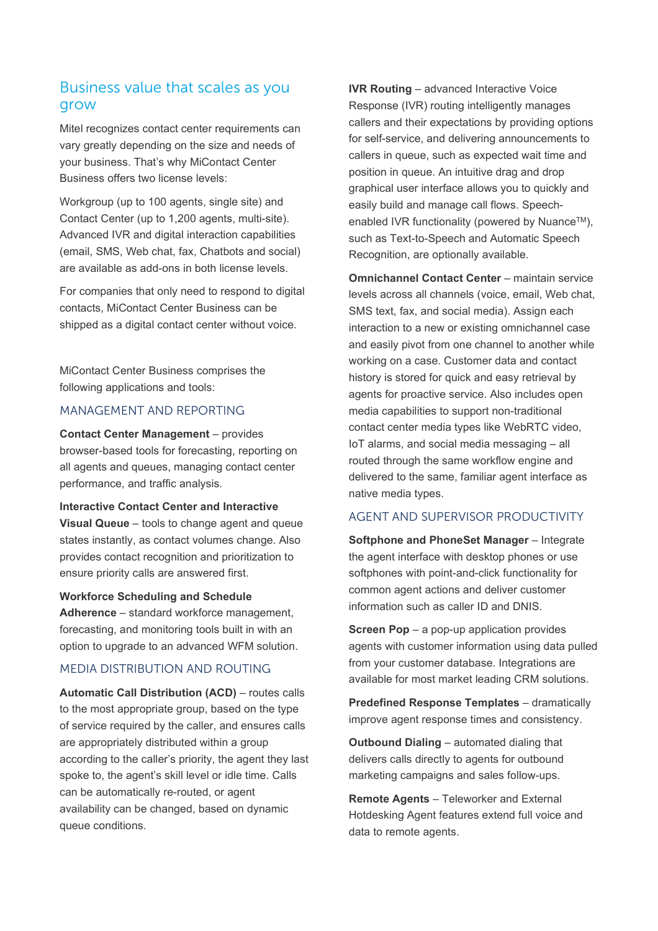# Business value that scales as you grow

Mitel recognizes contact center requirements can vary greatly depending on the size and needs of your business. That's why MiContact Center Business offers two license levels:

Workgroup (up to 100 agents, single site) and Contact Center (up to 1,200 agents, multi-site). Advanced IVR and digital interaction capabilities (email, SMS, Web chat, fax, Chatbots and social) are available as add-ons in both license levels.

For companies that only need to respond to digital contacts, MiContact Center Business can be shipped as a digital contact center without voice.

MiContact Center Business comprises the following applications and tools:

#### MANAGEMENT AND REPORTING

**Contact Center Management** – provides browser-based tools for forecasting, reporting on all agents and queues, managing contact center performance, and traffic analysis.

**Interactive Contact Center and Interactive Visual Queue** – tools to change agent and queue states instantly, as contact volumes change. Also provides contact recognition and prioritization to ensure priority calls are answered first.

#### **Workforce Scheduling and Schedule**

**Adherence** – standard workforce management, forecasting, and monitoring tools built in with an option to upgrade to an advanced WFM solution.

#### MEDIA DISTRIBUTION AND ROUTING

**Automatic Call Distribution (ACD)** – routes calls to the most appropriate group, based on the type of service required by the caller, and ensures calls are appropriately distributed within a group according to the caller's priority, the agent they last spoke to, the agent's skill level or idle time. Calls can be automatically re-routed, or agent availability can be changed, based on dynamic queue conditions.

**IVR Routing** – advanced Interactive Voice Response (IVR) routing intelligently manages callers and their expectations by providing options for self-service, and delivering announcements to callers in queue, such as expected wait time and position in queue. An intuitive drag and drop graphical user interface allows you to quickly and easily build and manage call flows. Speechenabled IVR functionality (powered by Nuance™), such as Text-to-Speech and Automatic Speech Recognition, are optionally available.

**Omnichannel Contact Center** – maintain service levels across all channels (voice, email, Web chat, SMS text, fax, and social media). Assign each interaction to a new or existing omnichannel case and easily pivot from one channel to another while working on a case. Customer data and contact history is stored for quick and easy retrieval by agents for proactive service. Also includes open media capabilities to support non-traditional contact center media types like WebRTC video, IoT alarms, and social media messaging – all routed through the same workflow engine and delivered to the same, familiar agent interface as native media types.

## AGENT AND SUPERVISOR PRODUCTIVITY

**Softphone and PhoneSet Manager** – Integrate the agent interface with desktop phones or use softphones with point-and-click functionality for common agent actions and deliver customer information such as caller ID and DNIS.

**Screen Pop** – a pop-up application provides agents with customer information using data pulled from your customer database. Integrations are available for most market leading CRM solutions.

**Predefined Response Templates** – dramatically improve agent response times and consistency.

**Outbound Dialing** – automated dialing that delivers calls directly to agents for outbound marketing campaigns and sales follow-ups.

**Remote Agents** – Teleworker and External Hotdesking Agent features extend full voice and data to remote agents.